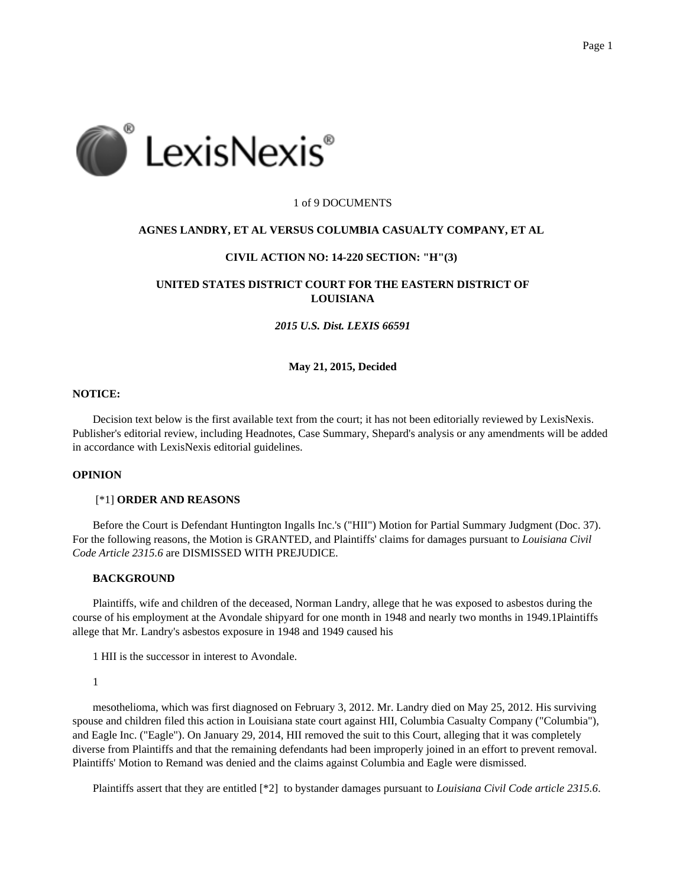

### 1 of 9 DOCUMENTS

#### **AGNES LANDRY, ET AL VERSUS COLUMBIA CASUALTY COMPANY, ET AL**

## **CIVIL ACTION NO: 14-220 SECTION: "H"(3)**

# **UNITED STATES DISTRICT COURT FOR THE EASTERN DISTRICT OF LOUISIANA**

#### *2015 U.S. Dist. LEXIS 66591*

#### **May 21, 2015, Decided**

## **NOTICE:**

Decision text below is the first available text from the court; it has not been editorially reviewed by LexisNexis. Publisher's editorial review, including Headnotes, Case Summary, Shepard's analysis or any amendments will be added in accordance with LexisNexis editorial guidelines.

# **OPINION**

## [\*1] **ORDER AND REASONS**

Before the Court is Defendant Huntington Ingalls Inc.'s ("HII") Motion for Partial Summary Judgment (Doc. 37). For the following reasons, the Motion is GRANTED, and Plaintiffs' claims for damages pursuant to *Louisiana Civil Code Article 2315.6* are DISMISSED WITH PREJUDICE.

# **BACKGROUND**

Plaintiffs, wife and children of the deceased, Norman Landry, allege that he was exposed to asbestos during the course of his employment at the Avondale shipyard for one month in 1948 and nearly two months in 1949.1Plaintiffs allege that Mr. Landry's asbestos exposure in 1948 and 1949 caused his

1 HII is the successor in interest to Avondale.

1

mesothelioma, which was first diagnosed on February 3, 2012. Mr. Landry died on May 25, 2012. His surviving spouse and children filed this action in Louisiana state court against HII, Columbia Casualty Company ("Columbia"), and Eagle Inc. ("Eagle"). On January 29, 2014, HII removed the suit to this Court, alleging that it was completely diverse from Plaintiffs and that the remaining defendants had been improperly joined in an effort to prevent removal. Plaintiffs' Motion to Remand was denied and the claims against Columbia and Eagle were dismissed.

Plaintiffs assert that they are entitled [\*2] to bystander damages pursuant to *Louisiana Civil Code article 2315.6*.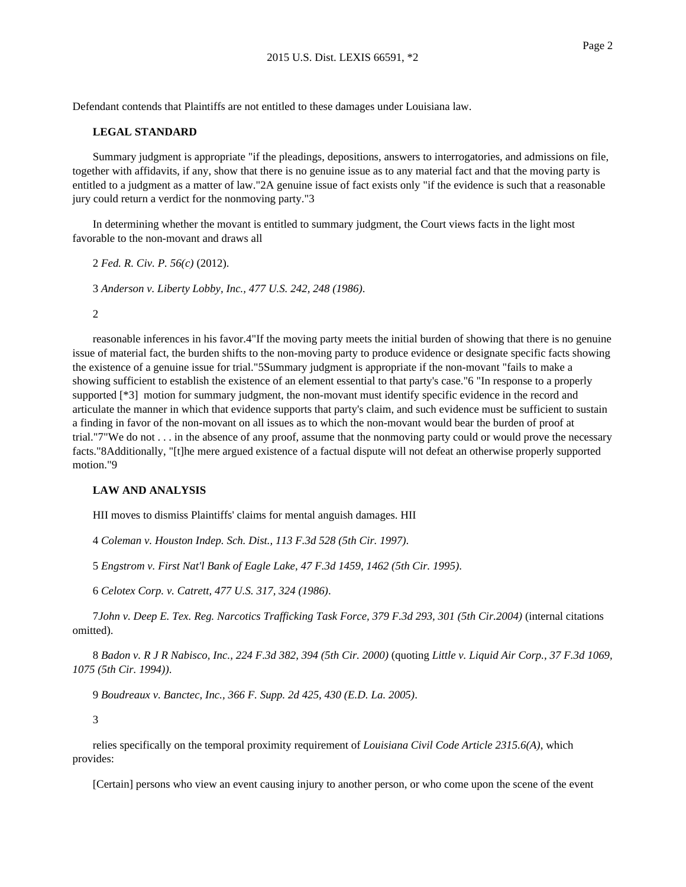Defendant contends that Plaintiffs are not entitled to these damages under Louisiana law.

### **LEGAL STANDARD**

Summary judgment is appropriate "if the pleadings, depositions, answers to interrogatories, and admissions on file, together with affidavits, if any, show that there is no genuine issue as to any material fact and that the moving party is entitled to a judgment as a matter of law."2A genuine issue of fact exists only "if the evidence is such that a reasonable jury could return a verdict for the nonmoving party."3

In determining whether the movant is entitled to summary judgment, the Court views facts in the light most favorable to the non-movant and draws all

2 *Fed. R. Civ. P. 56(c)* (2012).

3 *Anderson v. Liberty Lobby, Inc., 477 U.S. 242, 248 (1986)*.

2

reasonable inferences in his favor.4"If the moving party meets the initial burden of showing that there is no genuine issue of material fact, the burden shifts to the non-moving party to produce evidence or designate specific facts showing the existence of a genuine issue for trial."5Summary judgment is appropriate if the non-movant "fails to make a showing sufficient to establish the existence of an element essential to that party's case."6 "In response to a properly supported [ $*3$ ] motion for summary judgment, the non-movant must identify specific evidence in the record and articulate the manner in which that evidence supports that party's claim, and such evidence must be sufficient to sustain a finding in favor of the non-movant on all issues as to which the non-movant would bear the burden of proof at trial."7"We do not . . . in the absence of any proof, assume that the nonmoving party could or would prove the necessary facts."8Additionally, "[t]he mere argued existence of a factual dispute will not defeat an otherwise properly supported motion."9

#### **LAW AND ANALYSIS**

HII moves to dismiss Plaintiffs' claims for mental anguish damages. HII

4 *Coleman v. Houston Indep. Sch. Dist., 113 F.3d 528 (5th Cir. 1997)*.

5 *Engstrom v. First Nat'l Bank of Eagle Lake, 47 F.3d 1459, 1462 (5th Cir. 1995)*.

6 *Celotex Corp. v. Catrett, 477 U.S. 317, 324 (1986)*.

7*John v. Deep E. Tex. Reg. Narcotics Trafficking Task Force, 379 F.3d 293, 301 (5th Cir.2004)* (internal citations omitted).

8 *Badon v. R J R Nabisco, Inc., 224 F.3d 382, 394 (5th Cir. 2000)* (quoting *Little v. Liquid Air Corp., 37 F.3d 1069, 1075 (5th Cir. 1994))*.

9 *Boudreaux v. Banctec, Inc., 366 F. Supp. 2d 425, 430 (E.D. La. 2005)*.

3

relies specifically on the temporal proximity requirement of *Louisiana Civil Code Article 2315.6(A)*, which provides:

[Certain] persons who view an event causing injury to another person, or who come upon the scene of the event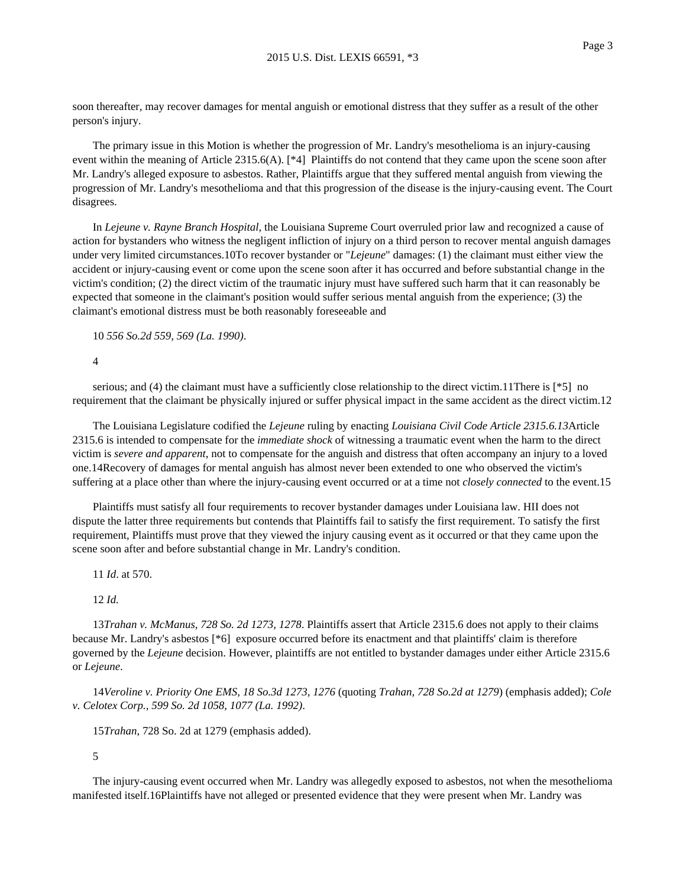soon thereafter, may recover damages for mental anguish or emotional distress that they suffer as a result of the other person's injury.

The primary issue in this Motion is whether the progression of Mr. Landry's mesothelioma is an injury-causing event within the meaning of Article 2315.6(A). [\*4] Plaintiffs do not contend that they came upon the scene soon after Mr. Landry's alleged exposure to asbestos. Rather, Plaintiffs argue that they suffered mental anguish from viewing the progression of Mr. Landry's mesothelioma and that this progression of the disease is the injury-causing event. The Court disagrees.

In *Lejeune v. Rayne Branch Hospital,* the Louisiana Supreme Court overruled prior law and recognized a cause of action for bystanders who witness the negligent infliction of injury on a third person to recover mental anguish damages under very limited circumstances.10To recover bystander or "*Lejeune*" damages: (1) the claimant must either view the accident or injury-causing event or come upon the scene soon after it has occurred and before substantial change in the victim's condition; (2) the direct victim of the traumatic injury must have suffered such harm that it can reasonably be expected that someone in the claimant's position would suffer serious mental anguish from the experience; (3) the claimant's emotional distress must be both reasonably foreseeable and

10 *556 So.2d 559, 569 (La. 1990)*.

4

serious; and (4) the claimant must have a sufficiently close relationship to the direct victim.11There is [\*5] no requirement that the claimant be physically injured or suffer physical impact in the same accident as the direct victim.12

The Louisiana Legislature codified the *Lejeune* ruling by enacting *Louisiana Civil Code Article 2315.6.13*Article 2315.6 is intended to compensate for the *immediate shock* of witnessing a traumatic event when the harm to the direct victim is *severe and apparent*, not to compensate for the anguish and distress that often accompany an injury to a loved one.14Recovery of damages for mental anguish has almost never been extended to one who observed the victim's suffering at a place other than where the injury-causing event occurred or at a time not *closely connected* to the event.15

Plaintiffs must satisfy all four requirements to recover bystander damages under Louisiana law. HII does not dispute the latter three requirements but contends that Plaintiffs fail to satisfy the first requirement. To satisfy the first requirement, Plaintiffs must prove that they viewed the injury causing event as it occurred or that they came upon the scene soon after and before substantial change in Mr. Landry's condition.

11 *Id*. at 570.

#### 12 *Id.*

13*Trahan v. McManus, 728 So. 2d 1273, 1278*. Plaintiffs assert that Article 2315.6 does not apply to their claims because Mr. Landry's asbestos [\*6] exposure occurred before its enactment and that plaintiffs' claim is therefore governed by the *Lejeune* decision. However, plaintiffs are not entitled to bystander damages under either Article 2315.6 or *Lejeune*.

14*Veroline v. Priority One EMS, 18 So.3d 1273, 1276* (quoting *Trahan, 728 So.2d at 1279*) (emphasis added); *Cole v. Celotex Corp., 599 So. 2d 1058, 1077 (La. 1992)*.

15*Trahan*, 728 So. 2d at 1279 (emphasis added).

5

The injury-causing event occurred when Mr. Landry was allegedly exposed to asbestos, not when the mesothelioma manifested itself.16Plaintiffs have not alleged or presented evidence that they were present when Mr. Landry was